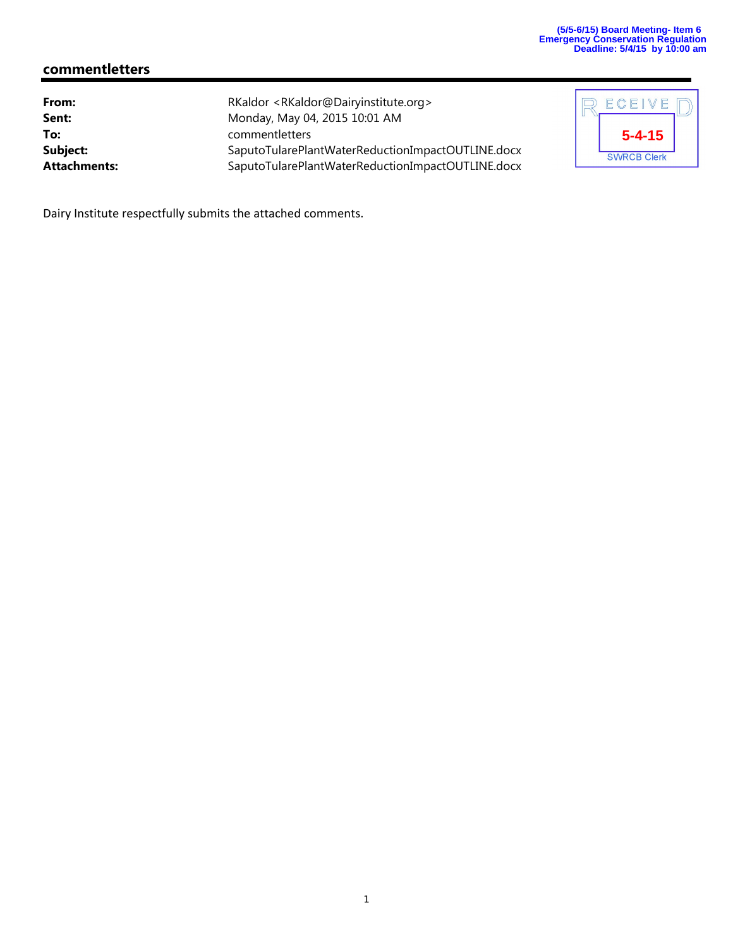# **commentletters**

| RKaldor <rkaldor@dairyinstitute.org></rkaldor@dairyinstitute.org> |
|-------------------------------------------------------------------|
| Monday, May 04, 2015 10:01 AM                                     |
| commentletters                                                    |
| SaputoTularePlantWaterReductionImpactOUTLINE.docx                 |
| SaputoTularePlantWaterReductionImpactOUTLINE.docx                 |
|                                                                   |

| ECEIVE             |  |
|--------------------|--|
| $5 - 4 - 15$       |  |
| <b>SWRCB Clerk</b> |  |

Dairy Institute respectfully submits the attached comments.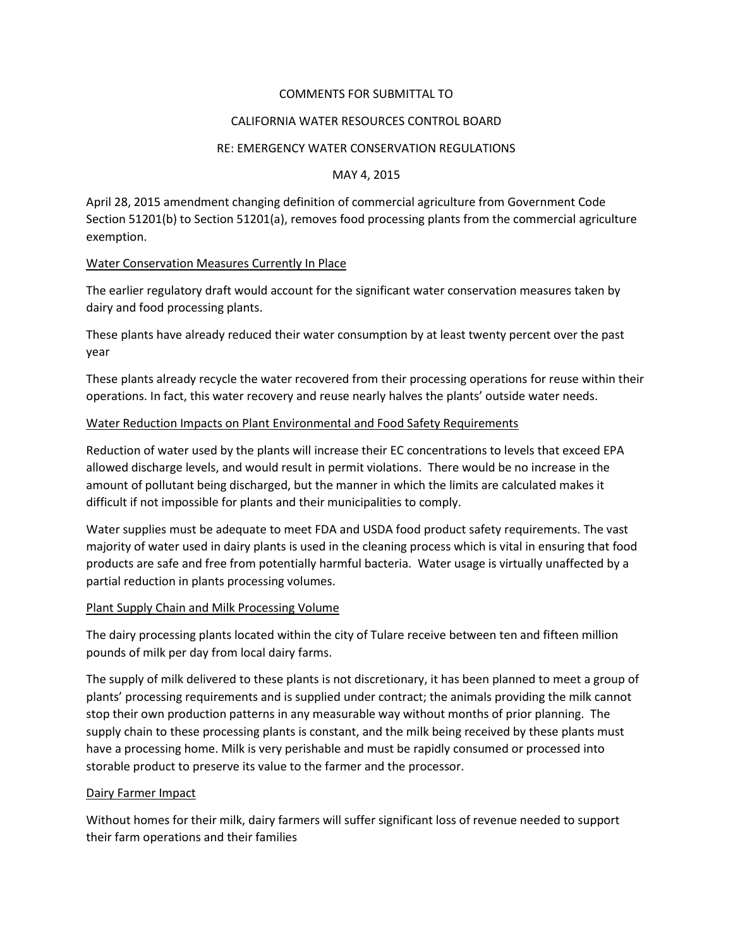## COMMENTS FOR SUBMITTAL TO

### CALIFORNIA WATER RESOURCES CONTROL BOARD

#### RE: EMERGENCY WATER CONSERVATION REGULATIONS

#### MAY 4, 2015

April 28, 2015 amendment changing definition of commercial agriculture from Government Code Section 51201(b) to Section 51201(a), removes food processing plants from the commercial agriculture exemption.

### Water Conservation Measures Currently In Place

The earlier regulatory draft would account for the significant water conservation measures taken by dairy and food processing plants.

These plants have already reduced their water consumption by at least twenty percent over the past year

These plants already recycle the water recovered from their processing operations for reuse within their operations. In fact, this water recovery and reuse nearly halves the plants' outside water needs.

### Water Reduction Impacts on Plant Environmental and Food Safety Requirements

Reduction of water used by the plants will increase their EC concentrations to levels that exceed EPA allowed discharge levels, and would result in permit violations. There would be no increase in the amount of pollutant being discharged, but the manner in which the limits are calculated makes it difficult if not impossible for plants and their municipalities to comply.

Water supplies must be adequate to meet FDA and USDA food product safety requirements. The vast majority of water used in dairy plants is used in the cleaning process which is vital in ensuring that food products are safe and free from potentially harmful bacteria. Water usage is virtually unaffected by a partial reduction in plants processing volumes.

#### Plant Supply Chain and Milk Processing Volume

The dairy processing plants located within the city of Tulare receive between ten and fifteen million pounds of milk per day from local dairy farms.

The supply of milk delivered to these plants is not discretionary, it has been planned to meet a group of plants' processing requirements and is supplied under contract; the animals providing the milk cannot stop their own production patterns in any measurable way without months of prior planning. The supply chain to these processing plants is constant, and the milk being received by these plants must have a processing home. Milk is very perishable and must be rapidly consumed or processed into storable product to preserve its value to the farmer and the processor.

#### Dairy Farmer Impact

Without homes for their milk, dairy farmers will suffer significant loss of revenue needed to support their farm operations and their families